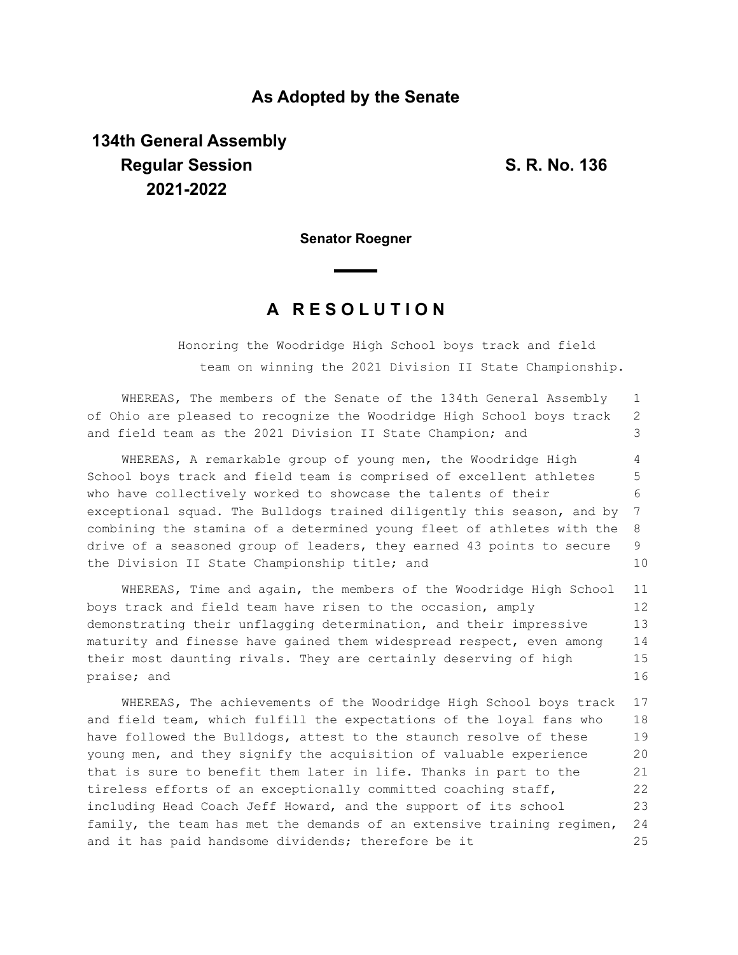## **As Adopted by the Senate**

## **134th General Assembly Regular Session S. R. No. 136 2021-2022**

1

**Senator Roegner**

## **A R E S O L U T I O N**

WHEREAS, The members of the Senate of the 134th General Assembly

Honoring the Woodridge High School boys track and field team on winning the 2021 Division II State Championship.

of Ohio are pleased to recognize the Woodridge High School boys track and field team as the 2021 Division II State Champion; and WHEREAS, A remarkable group of young men, the Woodridge High School boys track and field team is comprised of excellent athletes who have collectively worked to showcase the talents of their exceptional squad. The Bulldogs trained diligently this season, and by combining the stamina of a determined young fleet of athletes with the drive of a seasoned group of leaders, they earned 43 points to secure the Division II State Championship title; and WHEREAS, Time and again, the members of the Woodridge High School boys track and field team have risen to the occasion, amply demonstrating their unflagging determination, and their impressive maturity and finesse have gained them widespread respect, even among their most daunting rivals. They are certainly deserving of high praise; and WHEREAS, The achievements of the Woodridge High School boys track and field team, which fulfill the expectations of the loyal fans who have followed the Bulldogs, attest to the staunch resolve of these young men, and they signify the acquisition of valuable experience that is sure to benefit them later in life. Thanks in part to the tireless efforts of an exceptionally committed coaching staff, 2 3 4 5 6 7 8 9 10 11 12 13 14 15 16 17 18 19 20 21 22

including Head Coach Jeff Howard, and the support of its school family, the team has met the demands of an extensive training regimen, and it has paid handsome dividends; therefore be it 23 24 25